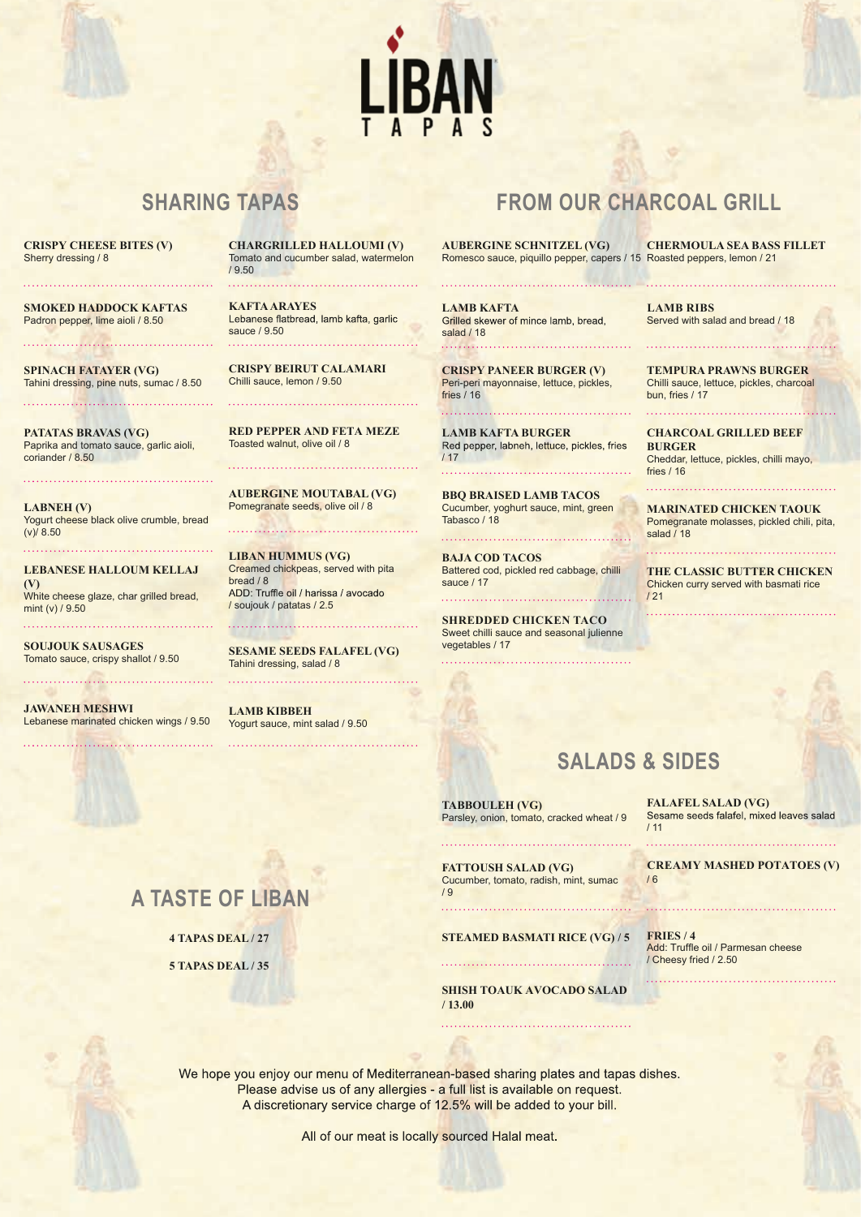

**CRISPY CHEESE BITES (V)** Sherry dressing / 8

**SMOKED HADDOCK KAFTAS** Padron pepper, lime aioli / 8.50

**SPINACH FATAYER (VG)** Tahini dressing, pine nuts, sumac / 8.50

**PATATAS BRAVAS (VG)** Paprika and tomato sauce, garlic aioli, coriander / 8.50

**LABNEH (V)** Yogurt cheese black olive crumble, bread  $(v)/8.50$ 

**LEBANESE HALLOUM KELLAJ (V)** White cheese glaze, char grilled bread, mint (v) / 9.50

**SOUJOUK SAUSAGES** Tomato sauce, crispy shallot / 9.50

**JAWANEH MESHWI** Lebanese marinated chicken wings / 9.50

/ 9.50 **KAFTA ARAYES** Lebanese flatbread, lamb kafta, garlic

**CHARGRILLED HALLOUMI (V)** Tomato and cucumber salad, watermelon

sauce / 9.50

**CRISPY BEIRUT CALAMARI** Chilli sauce, lemon / 9.50

**RED PEPPER AND FETA MEZE** Toasted walnut, olive oil / 8

**AUBERGINE MOUTABAL (VG)** Pomegranate seeds, olive oil / 8

**LIBAN HUMMUS (VG)** Creamed chickpeas, served with pita bread / 8<br>ADD: Truffle oil / harissa / avocado / soujouk / patatas / 2.5

**SESAME SEEDS FALAFEL (VG)** Tahini dressing, salad / 8

**LAMB KIBBEH** Yogurt sauce, mint salad / 9.50

**SHARING TAPAS FROM OUR CHARCOAL GRILL**

**AUBERGINE SCHNITZEL (VG)** Romesco sauce, piquillo pepper, capers / 15 Roasted peppers, lemon / 21 **CHERMOULA SEA BASS FILLET**

**LAMB KAFTA**<br>Grilled skewer of mince lamb, bread, salad / 18 

**CRISPY PANEER BURGER (V)** Peri-peri mayonnaise, lettuce, pickles, fries / 16

**LAMB KAFTA BURGER** / 17

**BBQ BRAISED LAMB TACOS** Cucumber, yoghurt sauce, mint, green Tabasco / 18

**BAJA COD TACOS** Battered cod, pickled red cabbage, chilli sauce / 17

**SHREDDED CHICKEN TACO** Sweet chilli sauce and seasonal julienne vegetables / 17

**LAMB RIBS** Served with salad and bread / 18

**TEMPURA PRAWNS BURGER** Chilli sauce, lettuce, pickles, charcoal bun, fries / 17

**CHARCOAL GRILLED BEEF BURGER** Cheddar, lettuce, pickles, chilli mayo, fries / 16

**MARINATED CHICKEN TAOUK** Pomegranate molasses, pickled chili, pita, salad / 18

**THE CLASSIC BUTTER CHICKEN** Chicken curry served with basmati rice / 21

## **SALADS & SIDES**

**FALAFEL SALAD (VG)** / 11

**CREAMY MASHED POTATOES (V)** / 6

# **A TASTE OF LIBAN**

**4 TAPAS DEAL / 27**

**5 TAPAS DEAL / 35**

**STEAMED BASMATI RICE (VG) / 5**

Parsley, onion, tomato, cracked wheat / 9

**TABBOULEH (VG)**

**FATTOUSH SALAD (VG)** Cucumber, tomato, radish, mint, sumac

**SHISH TOAUK AVOCADO SALAD / 13.00**

Add: Truffle oil / Parmesan cheese / Cheesy fried / 2.50 **FRIES / 4**

We hope you enjoy our menu of Mediterranean-based sharing plates and tapas dishes. Please advise us of any allergies - a full list is available on request. A discretionary service charge of 12.5% will be added to your bill.

/ 9

All of our meat is locally sourced Halal meat.